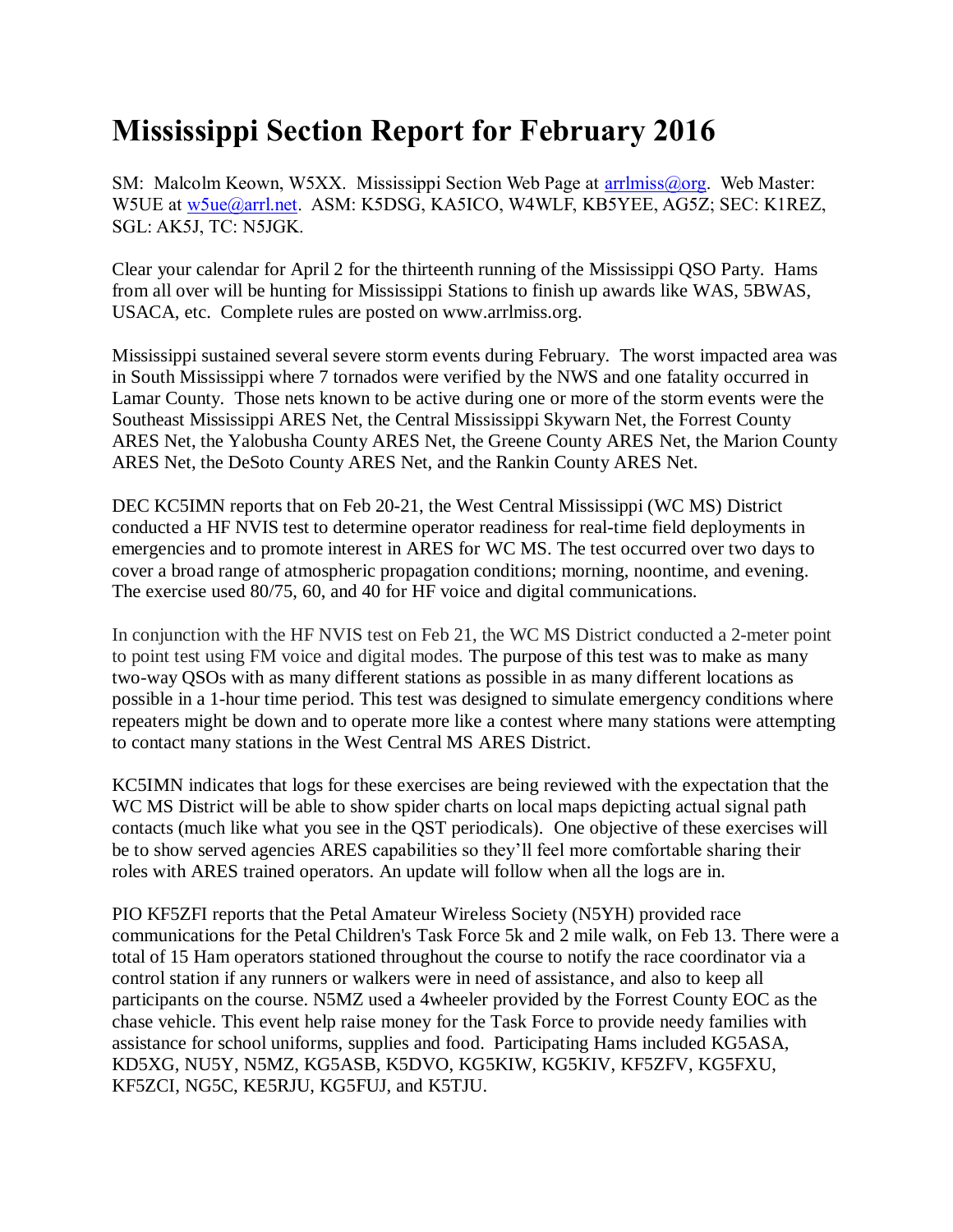## **Mississippi Section Report for February 2016**

SM: Malcolm Keown, W5XX. Mississippi Section Web Page at [arrlmiss@org.](mailto:arrlmiss@org) Web Master: W5UE at w<sub>5ue</sub>@arrl.net. ASM: K5DSG, KA5ICO, W4WLF, KB5YEE, AG5Z; SEC: K1REZ, SGL: AK5J, TC: N5JGK.

Clear your calendar for April 2 for the thirteenth running of the Mississippi QSO Party. Hams from all over will be hunting for Mississippi Stations to finish up awards like WAS, 5BWAS, USACA, etc. Complete rules are posted on www.arrlmiss.org.

Mississippi sustained several severe storm events during February. The worst impacted area was in South Mississippi where 7 tornados were verified by the NWS and one fatality occurred in Lamar County. Those nets known to be active during one or more of the storm events were the Southeast Mississippi ARES Net, the Central Mississippi Skywarn Net, the Forrest County ARES Net, the Yalobusha County ARES Net, the Greene County ARES Net, the Marion County ARES Net, the DeSoto County ARES Net, and the Rankin County ARES Net.

DEC KC5IMN reports that on Feb 20-21, the West Central Mississippi (WC MS) District conducted a HF NVIS test to determine operator readiness for real-time field deployments in emergencies and to promote interest in ARES for WC MS. The test occurred over two days to cover a broad range of atmospheric propagation conditions; morning, noontime, and evening. The exercise used 80/75, 60, and 40 for HF voice and digital communications.

In conjunction with the HF NVIS test on Feb 21, the WC MS District conducted a 2-meter point to point test using FM voice and digital modes. The purpose of this test was to make as many two-way QSOs with as many different stations as possible in as many different locations as possible in a 1-hour time period. This test was designed to simulate emergency conditions where repeaters might be down and to operate more like a contest where many stations were attempting to contact many stations in the West Central MS ARES District.

KC5IMN indicates that logs for these exercises are being reviewed with the expectation that the WC MS District will be able to show spider charts on local maps depicting actual signal path contacts (much like what you see in the QST periodicals). One objective of these exercises will be to show served agencies ARES capabilities so they'll feel more comfortable sharing their roles with ARES trained operators. An update will follow when all the logs are in.

PIO KF5ZFI reports that the Petal Amateur Wireless Society (N5YH) provided race communications for the Petal Children's Task Force 5k and 2 mile walk, on Feb 13. There were a total of 15 Ham operators stationed throughout the course to notify the race coordinator via a control station if any runners or walkers were in need of assistance, and also to keep all participants on the course. N5MZ used a 4wheeler provided by the Forrest County EOC as the chase vehicle. This event help raise money for the Task Force to provide needy families with assistance for school uniforms, supplies and food. Participating Hams included KG5ASA, KD5XG, NU5Y, N5MZ, KG5ASB, K5DVO, KG5KIW, KG5KIV, KF5ZFV, KG5FXU, KF5ZCI, NG5C, KE5RJU, KG5FUJ, and K5TJU.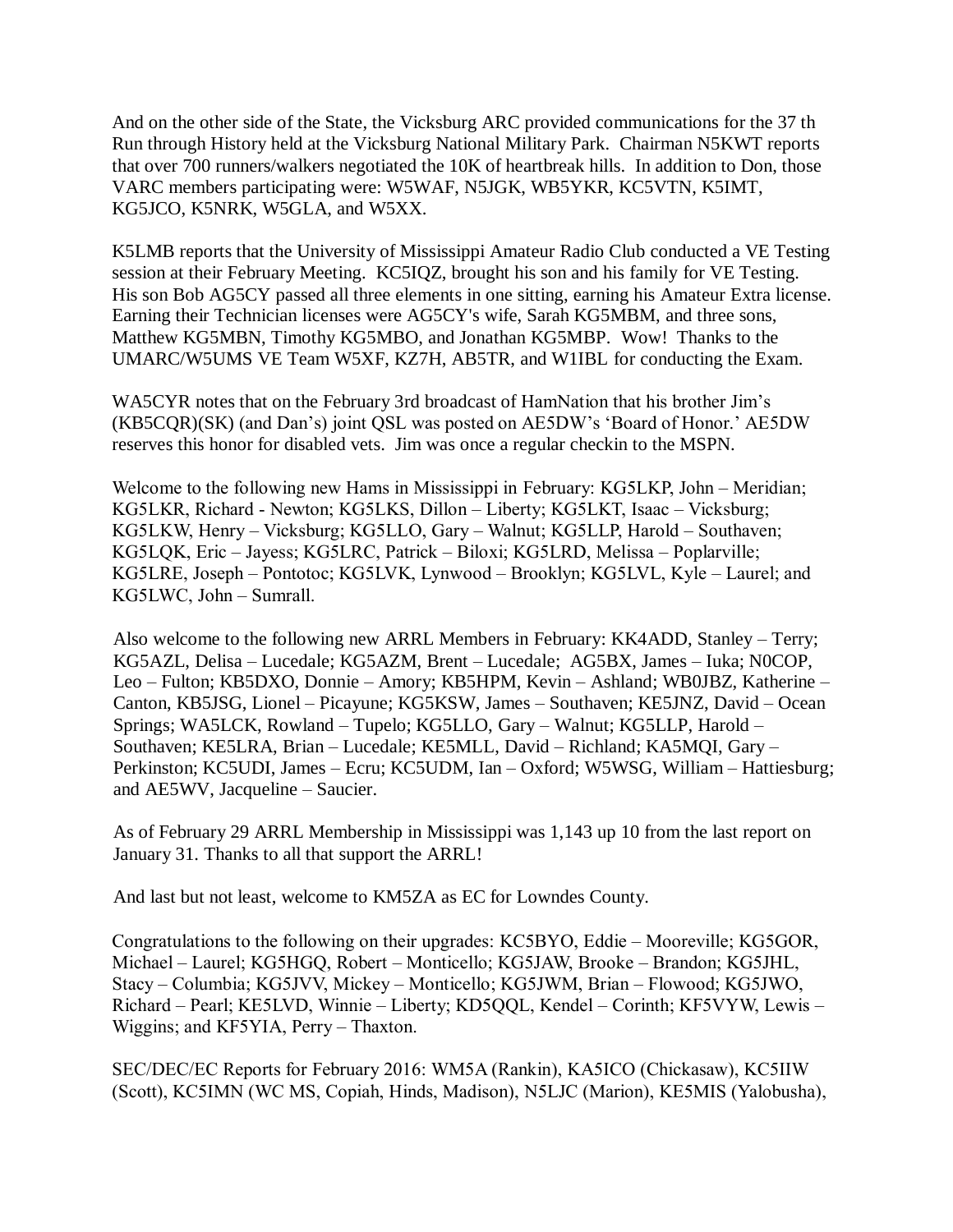And on the other side of the State, the Vicksburg ARC provided communications for the 37 th Run through History held at the Vicksburg National Military Park. Chairman N5KWT reports that over 700 runners/walkers negotiated the 10K of heartbreak hills. In addition to Don, those VARC members participating were: W5WAF, N5JGK, WB5YKR, KC5VTN, K5IMT, KG5JCO, K5NRK, W5GLA, and W5XX.

K5LMB reports that the University of Mississippi Amateur Radio Club conducted a VE Testing session at their February Meeting. KC5IQZ, brought his son and his family for VE Testing. His son Bob AG5CY passed all three elements in one sitting, earning his Amateur Extra license. Earning their Technician licenses were AG5CY's wife, Sarah KG5MBM, and three sons, Matthew KG5MBN, Timothy KG5MBO, and Jonathan KG5MBP. Wow! Thanks to the UMARC/W5UMS VE Team W5XF, KZ7H, AB5TR, and W1IBL for conducting the Exam.

WA5CYR notes that on the February 3rd broadcast of HamNation that his brother Jim's (KB5CQR)(SK) (and Dan's) joint QSL was posted on AE5DW's 'Board of Honor.' AE5DW reserves this honor for disabled vets. Jim was once a regular checkin to the MSPN.

Welcome to the following new Hams in Mississippi in February: KG5LKP, John – Meridian; KG5LKR, Richard - Newton; KG5LKS, Dillon – Liberty; KG5LKT, Isaac – Vicksburg; KG5LKW, Henry – Vicksburg; KG5LLO, Gary – Walnut; KG5LLP, Harold – Southaven; KG5LQK, Eric – Jayess; KG5LRC, Patrick – Biloxi; KG5LRD, Melissa – Poplarville; KG5LRE, Joseph – Pontotoc; KG5LVK, Lynwood – Brooklyn; KG5LVL, Kyle – Laurel; and KG5LWC, John – Sumrall.

Also welcome to the following new ARRL Members in February: KK4ADD, Stanley – Terry; KG5AZL, Delisa – Lucedale; KG5AZM, Brent – Lucedale; AG5BX, James – Iuka; N0COP, Leo – Fulton; KB5DXO, Donnie – Amory; KB5HPM, Kevin – Ashland; WB0JBZ, Katherine – Canton, KB5JSG, Lionel – Picayune; KG5KSW, James – Southaven; KE5JNZ, David – Ocean Springs; WA5LCK, Rowland – Tupelo; KG5LLO, Gary – Walnut; KG5LLP, Harold – Southaven; KE5LRA, Brian – Lucedale; KE5MLL, David – Richland; KA5MQI, Gary – Perkinston; KC5UDI, James – Ecru; KC5UDM, Ian – Oxford; W5WSG, William – Hattiesburg; and AE5WV, Jacqueline – Saucier.

As of February 29 ARRL Membership in Mississippi was 1,143 up 10 from the last report on January 31. Thanks to all that support the ARRL!

And last but not least, welcome to KM5ZA as EC for Lowndes County.

Congratulations to the following on their upgrades: KC5BYO, Eddie – Mooreville; KG5GOR, Michael – Laurel; KG5HGQ, Robert – Monticello; KG5JAW, Brooke – Brandon; KG5JHL, Stacy – Columbia; KG5JVV, Mickey – Monticello; KG5JWM, Brian – Flowood; KG5JWO, Richard – Pearl; KE5LVD, Winnie – Liberty; KD5QQL, Kendel – Corinth; KF5VYW, Lewis – Wiggins; and KF5YIA, Perry – Thaxton.

SEC/DEC/EC Reports for February 2016: WM5A (Rankin), KA5ICO (Chickasaw), KC5IIW (Scott), KC5IMN (WC MS, Copiah, Hinds, Madison), N5LJC (Marion), KE5MIS (Yalobusha),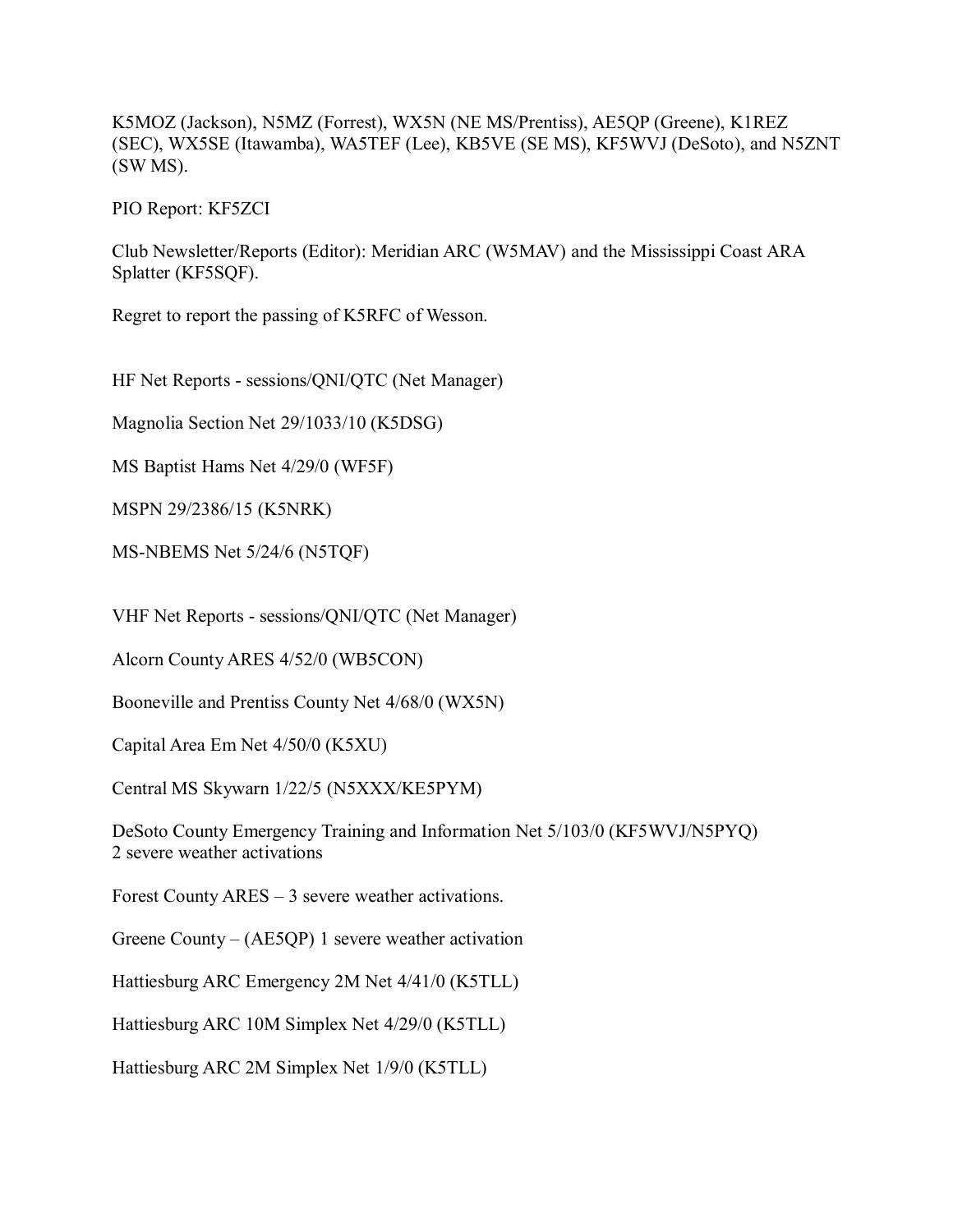K5MOZ (Jackson), N5MZ (Forrest), WX5N (NE MS/Prentiss), AE5QP (Greene), K1REZ (SEC), WX5SE (Itawamba), WA5TEF (Lee), KB5VE (SE MS), KF5WVJ (DeSoto), and N5ZNT (SW MS).

PIO Report: KF5ZCI

Club Newsletter/Reports (Editor): Meridian ARC (W5MAV) and the Mississippi Coast ARA Splatter (KF5SQF).

Regret to report the passing of K5RFC of Wesson.

HF Net Reports - sessions/QNI/QTC (Net Manager)

Magnolia Section Net 29/1033/10 (K5DSG)

MS Baptist Hams Net 4/29/0 (WF5F)

MSPN 29/2386/15 (K5NRK)

MS-NBEMS Net 5/24/6 (N5TQF)

VHF Net Reports - sessions/QNI/QTC (Net Manager)

Alcorn County ARES 4/52/0 (WB5CON)

Booneville and Prentiss County Net 4/68/0 (WX5N)

Capital Area Em Net 4/50/0 (K5XU)

Central MS Skywarn 1/22/5 (N5XXX/KE5PYM)

DeSoto County Emergency Training and Information Net 5/103/0 (KF5WVJ/N5PYQ) 2 severe weather activations

Forest County ARES – 3 severe weather activations.

Greene County – (AE5QP) 1 severe weather activation

Hattiesburg ARC Emergency 2M Net 4/41/0 (K5TLL)

Hattiesburg ARC 10M Simplex Net 4/29/0 (K5TLL)

Hattiesburg ARC 2M Simplex Net 1/9/0 (K5TLL)